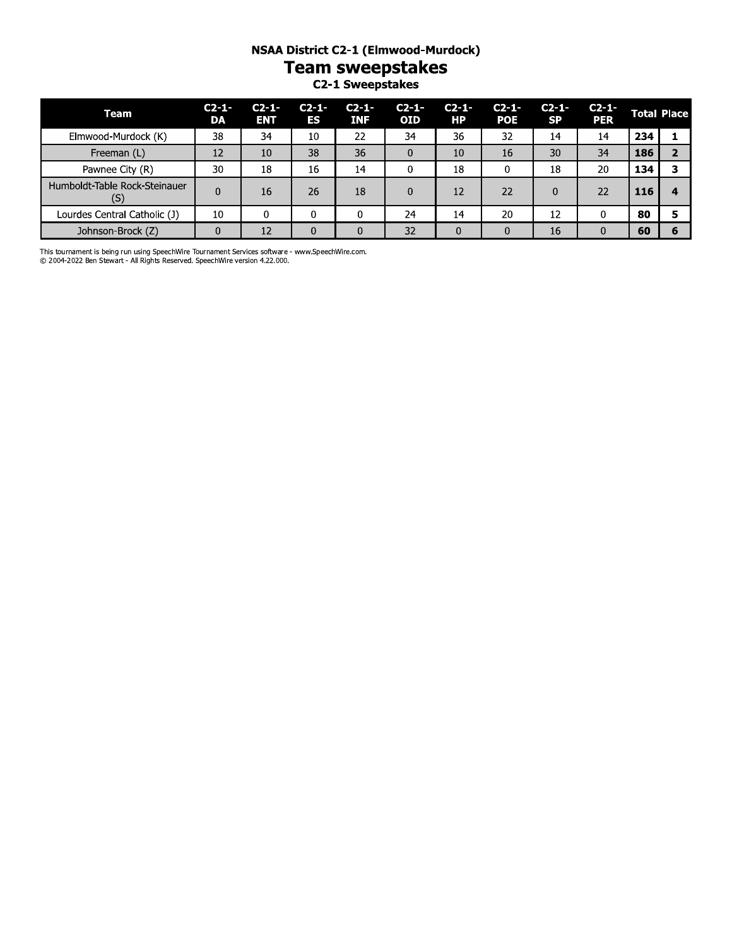# NSAA District C2-1 (Elmwood-Murdock)

**Team sweepstakes** 

C2-1 Sweepstakes

| Team                                 | $C_{2-1}$<br>DA | $C_{2-1}$<br><b>ENT</b> | $C2 - 1 -$<br>ES | $C_{2-1}$<br><b>INF</b> | $C_{2-1}$<br><b>OID</b> | $C_{2-1}$<br>HР | $C2 - 1 -$<br><b>POE</b> | $C2 - 1 -$<br><b>SP</b> | $C2 - 1 -$<br><b>PER</b> |     | <b>Total Place</b> |
|--------------------------------------|-----------------|-------------------------|------------------|-------------------------|-------------------------|-----------------|--------------------------|-------------------------|--------------------------|-----|--------------------|
| Elmwood-Murdock (K)                  | 38              | 34                      | 10               | 22                      | 34                      | 36              | 32                       | 14                      | 14                       | 234 |                    |
| Freeman (L)                          | 12              | 10                      | 38               | 36                      | 0                       | 10              | 16                       | 30                      | 34                       | 186 |                    |
| Pawnee City (R)                      | 30              | 18                      | 16               | 14                      |                         | 18              | 0                        | 18                      | 20                       | 134 |                    |
| Humboldt-Table Rock-Steinauer<br>(S) | 0               | 16                      | 26               | 18                      | $\Omega$                | 12              | 22                       | $\Omega$                | 22                       | 116 |                    |
| Lourdes Central Catholic (J)         | 10              | 0                       | 0                |                         | 24                      | 14              | 20                       | 12                      |                          | 80  |                    |
| Johnson-Brock (Z)                    | 0               | 12                      |                  | $\Omega$                | 32                      |                 | $\Omega$                 | 16                      | $\Omega$                 | 60  |                    |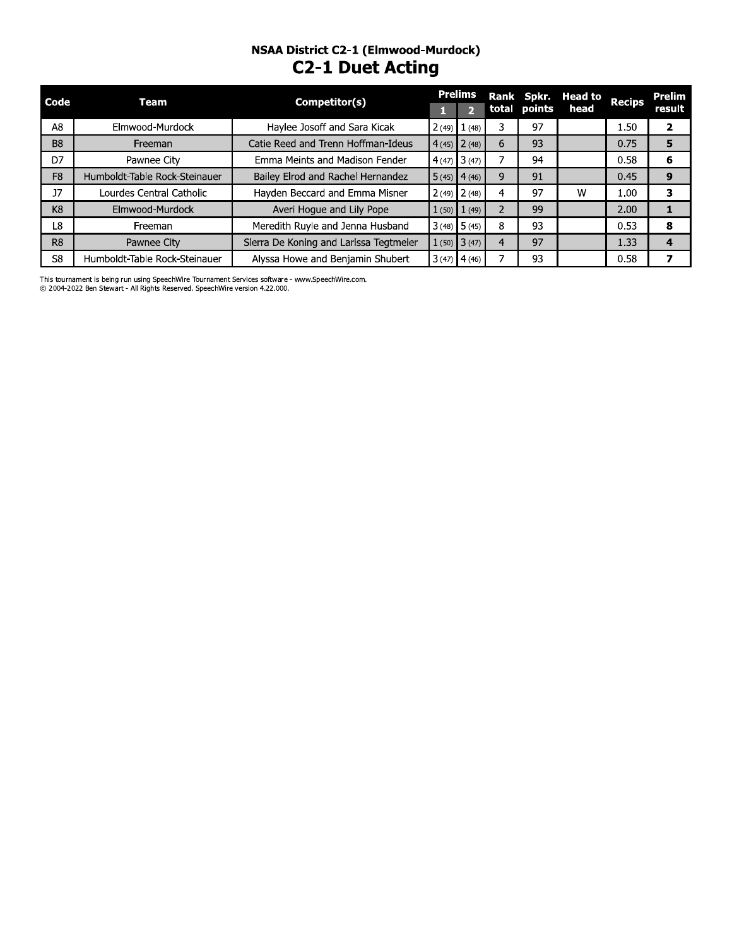# NSAA DISTrict C2-1 (Eimwood-Murdock) **CZ-1 Duet Acting**

| Code           | <b>Team</b>                   | Competitor(s)                          | <b>Prelims</b>  |                | Rank Spkr.   | <b>Head to</b> | <b>Recips</b> | <b>Prelim</b>  |
|----------------|-------------------------------|----------------------------------------|-----------------|----------------|--------------|----------------|---------------|----------------|
|                |                               |                                        | $\overline{2}$  |                | total points | head           |               | result         |
| A8             | Elmwood-Murdock               | Haylee Josoff and Sara Kicak           | $2(49)$ $1(48)$ | 3              | 97           |                | 1.50          | $\overline{2}$ |
| <b>B8</b>      | Freeman                       | Catie Reed and Trenn Hoffman-Ideus     | $4(45)$ 2(48)   | 6              | 93           |                | 0.75          | 5              |
| D <sub>7</sub> | Pawnee City                   | Emma Meints and Madison Fender         | $4(47)$ 3 (47)  | 7              | 94           |                | 0.58          | 6              |
| F <sub>8</sub> | Humboldt-Table Rock-Steinauer | Bailey Elrod and Rachel Hernandez      | $5(45)$ 4(46)   | 9              | 91           |                | 0.45          | 9              |
| 17             | Lourdes Central Catholic      | Hayden Beccard and Emma Misner         | $2(49)$ $2(48)$ | 4              | 97           | W              | 1.00          | 3              |
| K <sub>8</sub> | Elmwood-Murdock               | Averi Hoque and Lily Pope              | $1(50)$ $1(49)$ | $\overline{2}$ | 99           |                | 2.00          | 1              |
| L8             | Freeman                       | Meredith Ruyle and Jenna Husband       | $3(48)$ 5 (45)  | 8              | 93           |                | 0.53          | 8              |
| R <sub>8</sub> | Pawnee City                   | Sierra De Koning and Larissa Tegtmeier | $1(50)$ 3 (47)  | $\overline{4}$ | 97           |                | 1.33          | 4              |
| S8             | Humboldt-Table Rock-Steinauer | Alyssa Howe and Benjamin Shubert       | $3(47)$ 4(46)   |                | 93           |                | 0.58          | 7              |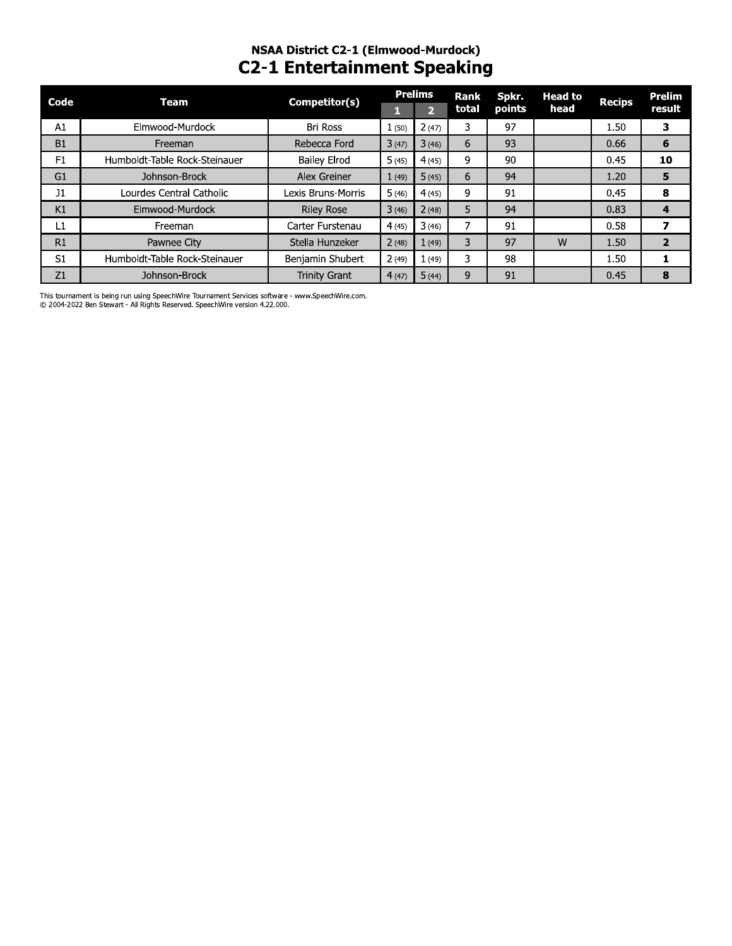## NSAA District C2-1 (Elmwood-Murdock) **C2-1 Entertainment Speaking**

| Code           | Team                          | Competitor(s)        |       | <b>Prelims</b> | <b>Rank</b> | Spkr.  | <b>Head to</b> |               | Prelim         |
|----------------|-------------------------------|----------------------|-------|----------------|-------------|--------|----------------|---------------|----------------|
|                |                               |                      |       |                | total       | points | head           | <b>Recips</b> | result         |
| A1             | Elmwood-Murdock               | Bri Ross             | 1(50) | 2(47)          | 3           | 97     |                | 1.50          | 3              |
| <b>B1</b>      | Freeman                       | Rebecca Ford         | 3(47) | 3(46)          | 6           | 93     |                | 0.66          | 6              |
| F1             | Humboldt-Table Rock-Steinauer | <b>Bailey Elrod</b>  | 5(45) | 4(45)          | 9           | 90     |                | 0.45          | 10             |
| G <sub>1</sub> | Johnson-Brock                 | Alex Greiner         | 1(49) | 5(45)          | 6           | 94     |                | 1.20          | 5              |
| J1             | Lourdes Central Catholic      | Lexis Bruns-Morris   | 5(46) | 4(45)          | 9           | 91     |                | 0.45          | 8              |
| K1             | Elmwood-Murdock               | <b>Riley Rose</b>    | 3(46) | 2(48)          | 5           | 94     |                | 0.83          |                |
| L1             | Freeman                       | Carter Furstenau     | 4(45) | 3(46)          |             | 91     |                | 0.58          |                |
| R1             | Pawnee City                   | Stella Hunzeker      | 2(48) | 1(49)          | 3           | 97     | W              | 1.50          | $\overline{2}$ |
| S1             | Humboldt-Table Rock-Steinauer | Benjamin Shubert     | 2(49) | 1(49)          | 3           | 98     |                | 1.50          |                |
| Z1             | Johnson-Brock                 | <b>Trinity Grant</b> | 4(47) | 5(44)          | 9           | 91     |                | 0.45          | 8              |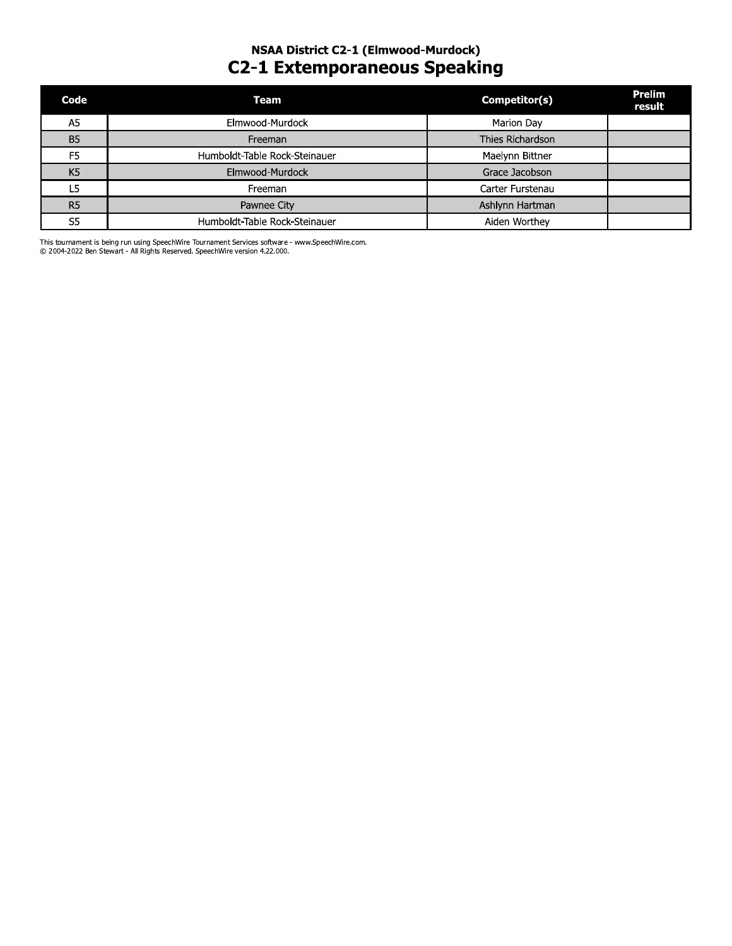# NSAA DISTrict C2-1 (Eimwood-Murdock) C2-1 Extemporaneous Speaking

| Code           | <b>Team</b>                   | Competitor(s)    | <b>Prelim</b><br>result |
|----------------|-------------------------------|------------------|-------------------------|
| A <sub>5</sub> | Elmwood-Murdock               | Marion Day       |                         |
| <b>B5</b>      | Freeman                       | Thies Richardson |                         |
| F <sub>5</sub> | Humboldt-Table Rock-Steinauer | Maelynn Bittner  |                         |
| K <sub>5</sub> | Elmwood-Murdock               | Grace Jacobson   |                         |
| L <sub>5</sub> | Freeman                       | Carter Furstenau |                         |
| R <sub>5</sub> | Pawnee City                   | Ashlynn Hartman  |                         |
| S5             | Humboldt-Table Rock-Steinauer | Aiden Worthey    |                         |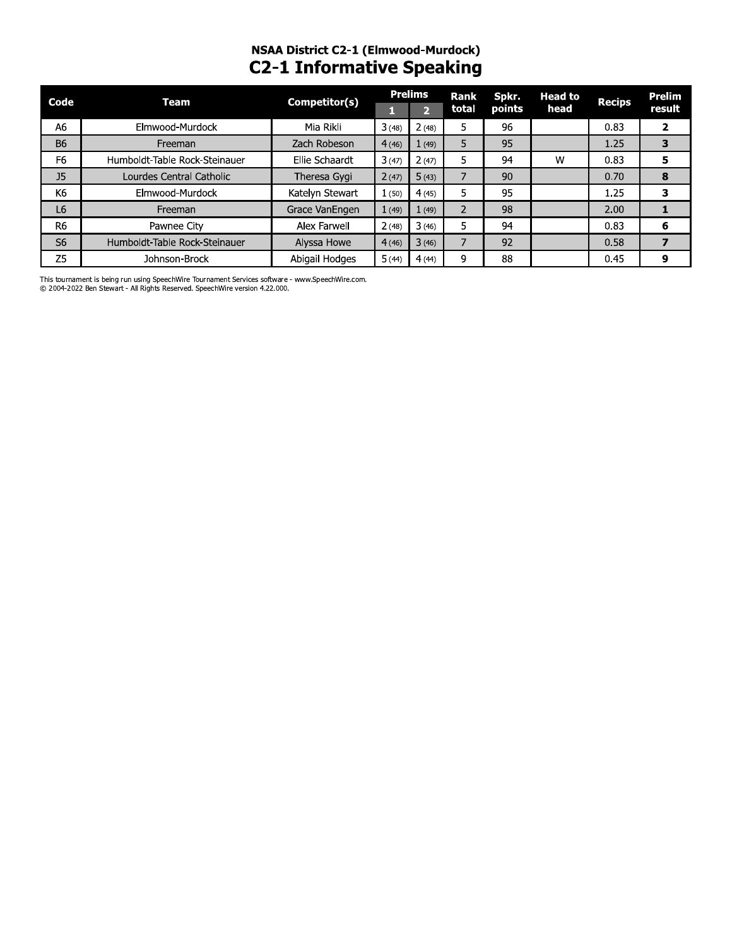# NSAA District C2-1 (Elmwood-Murdock)<br>C2-1 Informative Speaking

| Code           | Team                          | Competitor(s)   |       | <b>Prelims</b> | <b>Rank</b> | Spkr.         | <b>Head to</b> | <b>Recips</b> | <b>Prelim</b>  |
|----------------|-------------------------------|-----------------|-------|----------------|-------------|---------------|----------------|---------------|----------------|
|                |                               |                 |       | 2              | total       | <b>points</b> | head           |               | result         |
| A <sub>6</sub> | Elmwood-Murdock               | Mia Rikli       | 3(48) | 2(48)          | 5           | 96            |                | 0.83          | $\overline{2}$ |
| <b>B6</b>      | Freeman                       | Zach Robeson    | 4(46) | 1(49)          | 5           | 95            |                | 1.25          | 3              |
| F <sub>6</sub> | Humboldt-Table Rock-Steinauer | Ellie Schaardt  | 3(47) | 2(47)          | 5           | 94            | W              | 0.83          | 5              |
| J <sub>5</sub> | Lourdes Central Catholic      | Theresa Gygi    | 2(47) | 5(43)          |             | 90            |                | 0.70          | 8              |
| K6             | Elmwood-Murdock               | Katelyn Stewart | 1(50) | 4(45)          | 5           | 95            |                | 1.25          | 3              |
| L6             | Freeman                       | Grace VanEngen  | 1(49) | 1(49)          |             | 98            |                | 2.00          |                |
| R <sub>6</sub> | Pawnee City                   | Alex Farwell    | 2(48) | 3(46)          | 5           | 94            |                | 0.83          | 6              |
| S <sub>6</sub> | Humboldt-Table Rock-Steinauer | Alyssa Howe     | 4(46) | 3(46)          |             | 92            |                | 0.58          |                |
| Z <sub>5</sub> | Johnson-Brock                 | Abigail Hodges  | 5(44) | 4(44)          | 9           | 88            |                | 0.45          | 9              |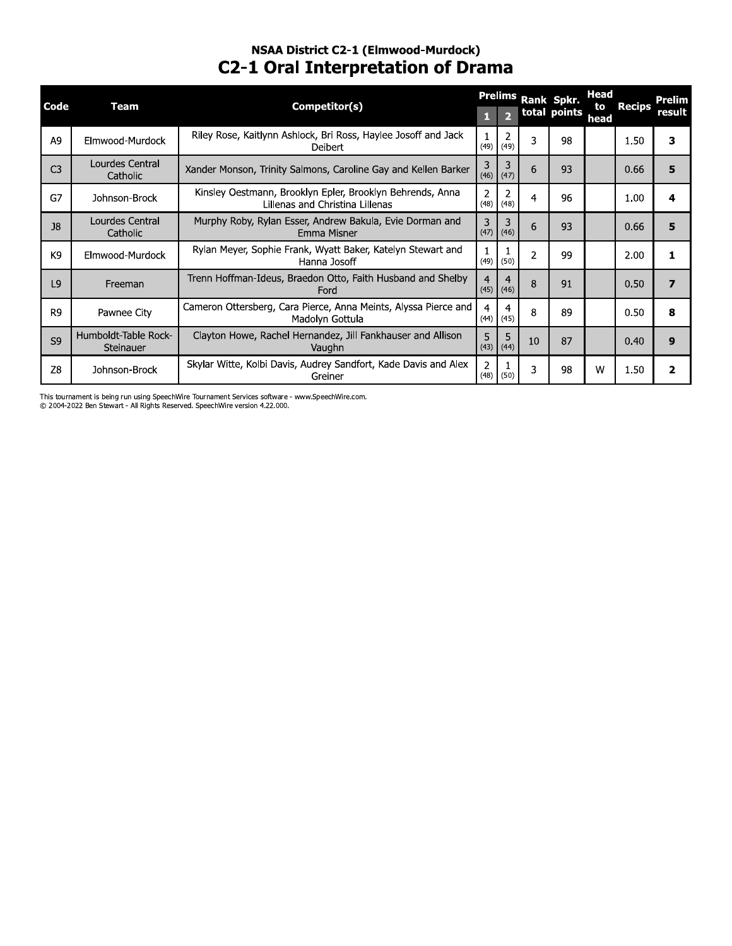## NSAA DISTrict C2-1 (Eimwood-Murdock) **C2-1 Oral Interpretation of Drama**

| Code           | <b>Team</b>                       | Competitor(s)                                                                                |                        | $\overline{2}$         |                | Prelims Rank Spkr.<br>total points | Head<br>to | <b>Recips</b> | Prelim<br>result |
|----------------|-----------------------------------|----------------------------------------------------------------------------------------------|------------------------|------------------------|----------------|------------------------------------|------------|---------------|------------------|
| A <sub>9</sub> | Elmwood-Murdock                   | Riley Rose, Kaitlynn Ashlock, Bri Ross, Haylee Josoff and Jack<br><b>Deibert</b>             | 1<br>(49)              | $\overline{2}$<br>(49) | 3              | 98                                 | head       | 1.50          | 3                |
| C <sub>3</sub> | Lourdes Central<br>Catholic       | Xander Monson, Trinity Salmons, Caroline Gay and Kellen Barker                               | 3<br>(46)              | 3<br>(47)              | 6              | 93                                 |            | 0.66          | 5                |
| G7             | Johnson-Brock                     | Kinsley Oestmann, Brooklyn Epler, Brooklyn Behrends, Anna<br>Lillenas and Christina Lillenas | 2<br>(48)              | 2<br>(48)              | 4              | 96                                 |            | 1.00          | 4                |
| J8             | Lourdes Central<br>Catholic       | Murphy Roby, Rylan Esser, Andrew Bakula, Evie Dorman and<br>Emma Misner                      | 3<br>(47)              | 3<br>(46)              | 6              | 93                                 |            | 0.66          | 5                |
| K9             | Elmwood-Murdock                   | Rylan Meyer, Sophie Frank, Wyatt Baker, Katelyn Stewart and<br>Hanna Josoff                  | 1<br>(49)              | (50)                   | $\overline{2}$ | 99                                 |            | 2.00          | 1                |
| L <sub>9</sub> | Freeman                           | Trenn Hoffman-Ideus, Braedon Otto, Faith Husband and Shelby<br>Ford                          | 4<br>(45)              | $\overline{4}$<br>(46) | 8              | 91                                 |            | 0.50          | $\overline{7}$   |
| R <sub>9</sub> | Pawnee City                       | Cameron Ottersberg, Cara Pierce, Anna Meints, Alyssa Pierce and<br>Madolyn Gottula           | $\overline{4}$<br>(44) | 4<br>(45)              | 8              | 89                                 |            | 0.50          | 8                |
| S <sub>9</sub> | Humboldt-Table Rock-<br>Steinauer | Clayton Howe, Rachel Hernandez, Jill Fankhauser and Allison<br>Vaughn                        | 5<br>(43)              | 5<br>(44)              | 10             | 87                                 |            | 0.40          | $\mathbf{9}$     |
| Z8             | Johnson-Brock                     | Skylar Witte, Kolbi Davis, Audrey Sandfort, Kade Davis and Alex<br>Greiner                   | $\overline{2}$<br>(48) | (50)                   | 3              | 98                                 | W          | 1.50          | $\mathbf{2}$     |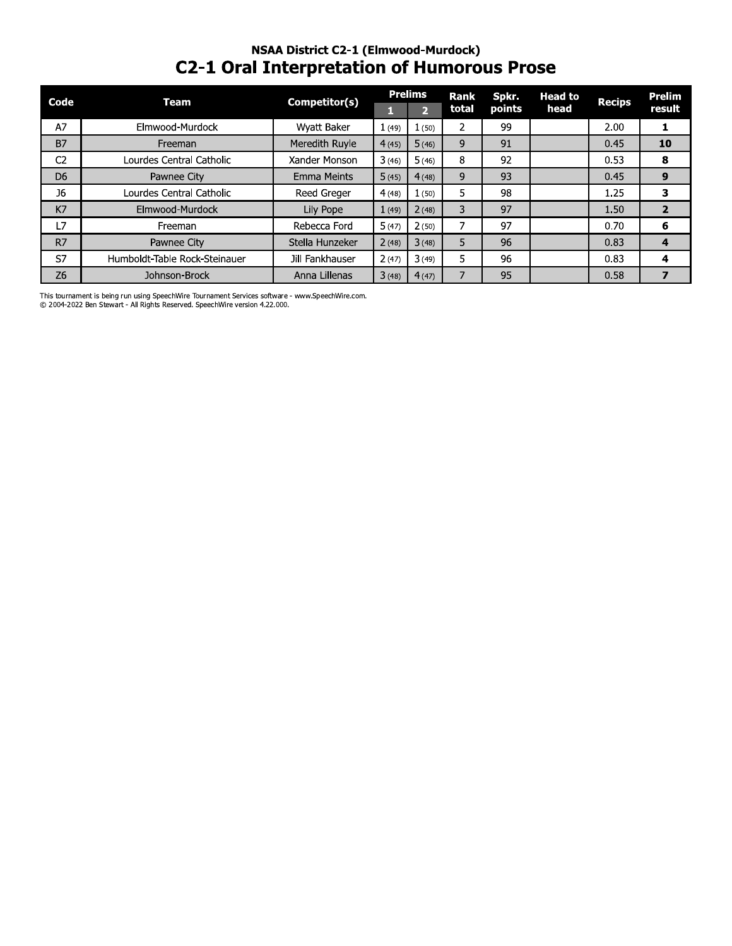## NSAA District C2-1 (Elmwood-Murdock) **C2-1 Oral Interpretation of Humorous Prose**

| Code           | Team                          | Competitor(s)      |       | <b>Prelims</b> | <b>Rank</b> | Spkr.  | <b>Head to</b> | <b>Recips</b> | <b>Prelim</b>  |
|----------------|-------------------------------|--------------------|-------|----------------|-------------|--------|----------------|---------------|----------------|
|                |                               |                    |       | $\mathbf{p}$   | total       | points | head           |               | result         |
| A7             | Elmwood-Murdock               | Wyatt Baker        | 1(49) | 1(50)          | 2           | 99     |                | 2.00          |                |
| <b>B7</b>      | Freeman                       | Meredith Ruyle     | 4(45) | 5(46)          | 9           | 91     |                | 0.45          | 10             |
| C <sub>2</sub> | Lourdes Central Catholic      | Xander Monson      | 3(46) | 5(46)          | 8           | 92     |                | 0.53          | 8              |
| D <sub>6</sub> | Pawnee City                   | <b>Emma Meints</b> | 5(45) | 4(48)          | 9           | 93     |                | 0.45          | 9              |
| <b>J6</b>      | Lourdes Central Catholic      | Reed Greger        | 4(48) | 1(50)          | 5           | 98     |                | 1.25          | 3              |
| K7             | Elmwood-Murdock               | Lily Pope          | 1(49) | 2(48)          | 3           | 97     |                | 1.50          | $\overline{2}$ |
| L7             | Freeman                       | Rebecca Ford       | 5(47) | 2(50)          |             | 97     |                | 0.70          | 6              |
| R7             | Pawnee City                   | Stella Hunzeker    | 2(48) | 3(48)          | 5           | 96     |                | 0.83          | 4              |
| S7             | Humboldt-Table Rock-Steinauer | Jill Fankhauser    | 2(47) | 3(49)          | 5           | 96     |                | 0.83          | 4              |
| Z6             | Johnson-Brock                 | Anna Lillenas      | 3(48) | 4(47)          |             | 95     |                | 0.58          | 7              |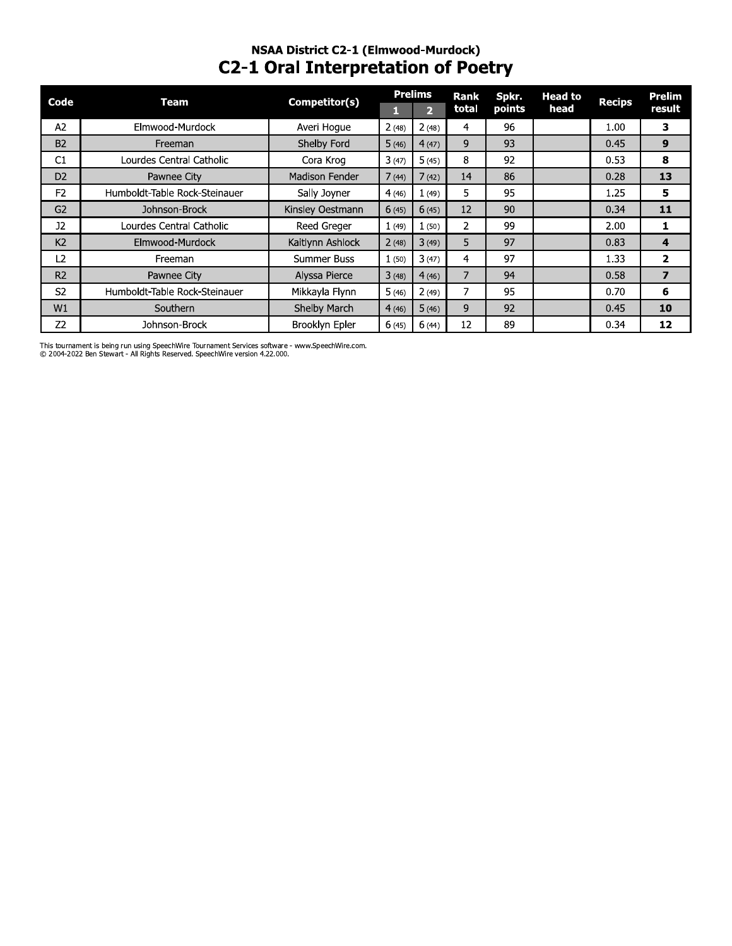### NSAA DISTrict C2-1 (Eimwood-Murdock) **C2-1 Oral Interpretation of Poetry**

|                | <b>NSAA District C2-1 (Elmwood-Murdock)</b><br><b>C2-1 Oral Interpretation of Poetry</b><br><b>Prelims</b><br><b>Rank</b><br>Spkr.<br><b>Head to</b> |                    |       |                |       |        |      |               |                         |  |  |  |  |
|----------------|------------------------------------------------------------------------------------------------------------------------------------------------------|--------------------|-------|----------------|-------|--------|------|---------------|-------------------------|--|--|--|--|
| Code           | <b>Team</b>                                                                                                                                          | Competitor(s)      |       |                |       |        |      | <b>Recips</b> | <b>Prelim</b>           |  |  |  |  |
|                |                                                                                                                                                      |                    | п     | $\overline{2}$ | total | points | head |               | result                  |  |  |  |  |
| A2             | Elmwood-Murdock                                                                                                                                      | Averi Hogue        | 2(48) | 2(48)          | 4     | 96     |      | 1.00          | 3                       |  |  |  |  |
| <b>B2</b>      | Freeman                                                                                                                                              | Shelby Ford        | 5(46) | 4(47)          | 9     | 93     |      | 0.45          | 9                       |  |  |  |  |
| C <sub>1</sub> | Lourdes Central Catholic                                                                                                                             | Cora Krog          | 3(47) | 5(45)          | 8     | 92     |      | 0.53          | 8                       |  |  |  |  |
| D <sub>2</sub> | Pawnee City                                                                                                                                          | Madison Fender     | 7(44) | 7(42)          | 14    | 86     |      | 0.28          | 13                      |  |  |  |  |
| F <sub>2</sub> | Humboldt-Table Rock-Steinauer                                                                                                                        | Sally Joyner       | 4(46) | 1(49)          | 5.    | 95     |      | 1.25          | 5                       |  |  |  |  |
| G <sub>2</sub> | Johnson-Brock                                                                                                                                        | Kinsley Oestmann   | 6(45) | 6(45)          | 12    | 90     |      | 0.34          | 11                      |  |  |  |  |
| J2             | Lourdes Central Catholic                                                                                                                             | Reed Greger        | 1(49) | 1(50)          | 2     | 99     |      | 2.00          | 1                       |  |  |  |  |
| K <sub>2</sub> | Elmwood-Murdock                                                                                                                                      | Kaitlynn Ashlock   | 2(48) | 3(49)          | 5     | 97     |      | 0.83          | 4                       |  |  |  |  |
| L <sub>2</sub> | Freeman                                                                                                                                              | <b>Summer Buss</b> | 1(50) | 3(47)          | 4     | 97     |      | 1.33          | $\mathbf{z}$            |  |  |  |  |
| R <sub>2</sub> | Pawnee City                                                                                                                                          | Alyssa Pierce      | 3(48) | 4(46)          | 7     | 94     |      | 0.58          | $\overline{\mathbf{z}}$ |  |  |  |  |
| S <sub>2</sub> | Humboldt-Table Rock-Steinauer                                                                                                                        | Mikkayla Flynn     | 5(46) | 2(49)          | 7     | 95     |      | 0.70          | 6                       |  |  |  |  |
| W1             | Southern                                                                                                                                             | Shelby March       | 4(46) | 5(46)          | 9     | 92     |      | 0.45          | 10                      |  |  |  |  |
| Z <sub>2</sub> | Johnson-Brock                                                                                                                                        | Brooklyn Epler     | 6(45) | 6(44)          | 12    | 89     |      | 0.34          | 12                      |  |  |  |  |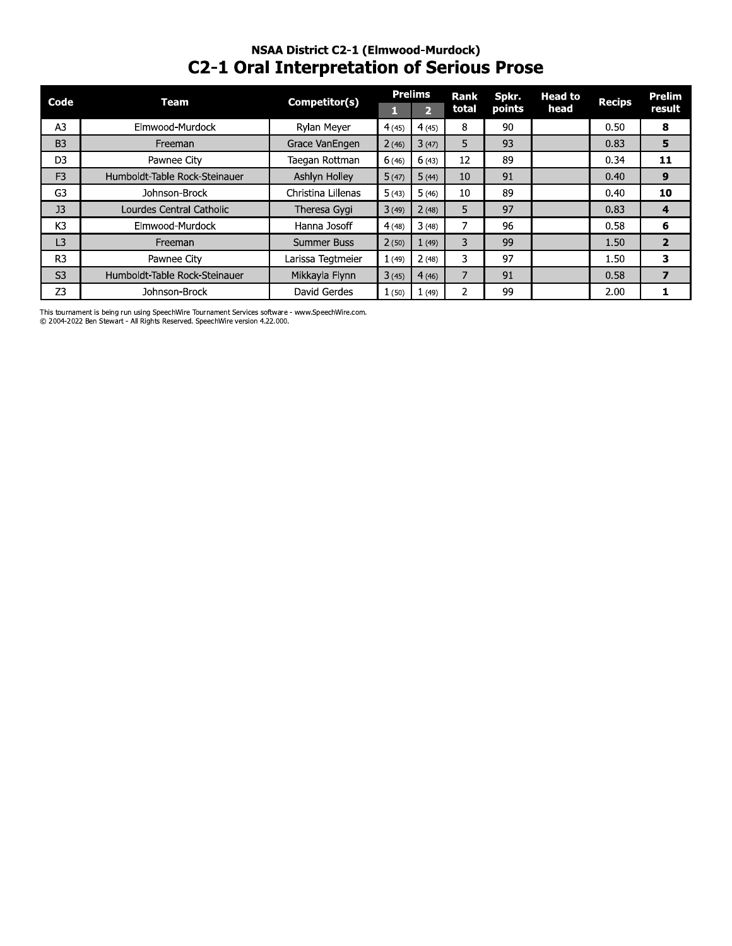# NSAA DISTrict C2-1 (Eimwood-Murdock) C2-1 Oral Interpretation or Serious Prose

|                |                               | <b>NSAA District C2-1 (Elmwood-Murdock)</b><br><b>C2-1 Oral Interpretation of Serious Prose</b> |       |                                  |                |                 |                        |               |                         |
|----------------|-------------------------------|-------------------------------------------------------------------------------------------------|-------|----------------------------------|----------------|-----------------|------------------------|---------------|-------------------------|
| Code           | Team                          | Competitor(s)                                                                                   |       | <b>Prelims</b><br>2 <sup>1</sup> | Rank<br>total  | Spkr.<br>points | <b>Head to</b><br>head | <b>Recips</b> | <b>Prelim</b><br>result |
| A <sub>3</sub> | Elmwood-Murdock               | Rylan Meyer                                                                                     | 4(45) | 4(45)                            | 8              | 90              |                        | 0.50          | 8                       |
| <b>B3</b>      | Freeman                       | Grace VanEngen                                                                                  | 2(46) | 3(47)                            | 5              | 93              |                        | 0.83          | 5                       |
| D <sub>3</sub> | Pawnee City                   | Taegan Rottman                                                                                  | 6(46) | 6(43)                            | 12             | 89              |                        | 0.34          | 11                      |
| F <sub>3</sub> | Humboldt-Table Rock-Steinauer | Ashlyn Holley                                                                                   | 5(47) | 5(44)                            | 10             | 91              |                        | 0.40          | 9                       |
| G <sub>3</sub> | Johnson-Brock                 | Christina Lillenas                                                                              | 5(43) | 5(46)                            | 10             | 89              |                        | 0.40          | 10                      |
| J <sub>3</sub> | Lourdes Central Catholic      | Theresa Gygi                                                                                    | 3(49) | 2(48)                            | 5              | 97              |                        | 0.83          | 4                       |
| K3             | Elmwood-Murdock               | Hanna Josoff                                                                                    | 4(48) | 3(48)                            | 7              | 96              |                        | 0.58          | 6                       |
| L3             | Freeman                       | Summer Buss                                                                                     | 2(50) | 1(49)                            | 3              | 99              |                        | 1.50          | $\overline{2}$          |
| R <sub>3</sub> | Pawnee City                   | Larissa Tegtmeier                                                                               | 1(49) | 2(48)                            | 3              | 97              |                        | 1.50          | 3                       |
| S <sub>3</sub> | Humboldt-Table Rock-Steinauer | Mikkayla Flynn                                                                                  | 3(45) | 4(46)                            | $\overline{7}$ | 91              |                        | 0.58          | $\overline{ }$          |
| Z <sub>3</sub> | Johnson-Brock                 | David Gerdes                                                                                    | 1(50) | 1(49)                            | $\overline{2}$ | 99              |                        | 2.00          | 1                       |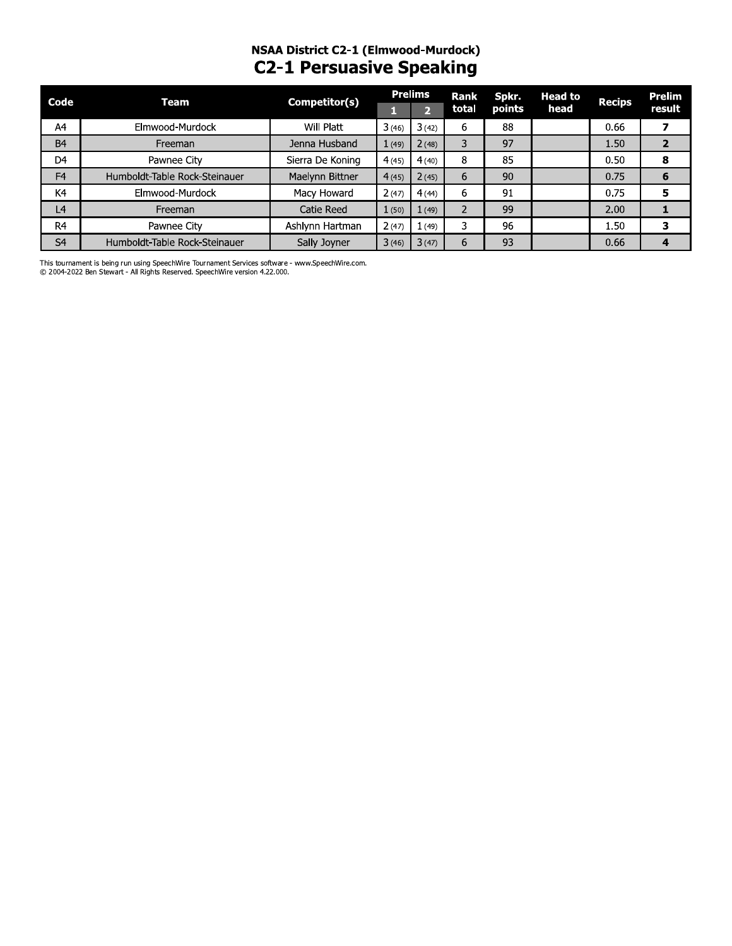# **NSAA District C2-1 (Elmwood-Murdock)**<br>C2-1 Persuasive Speaking

| Code           | Team                          | Competitor(s)    |       | <b>Prelims</b> | Rank  | Spkr.  | <b>Head to</b> | <b>Recips</b> | Prelim |
|----------------|-------------------------------|------------------|-------|----------------|-------|--------|----------------|---------------|--------|
|                |                               |                  |       | Ы              | total | points | head           |               | result |
| A4             | Elmwood-Murdock               | Will Platt       | 3(46) | 3(42)          | 6     | 88     |                | 0.66          |        |
| <b>B4</b>      | Freeman                       | Jenna Husband    | 1(49) | 2(48)          | 3     | 97     |                | 1.50          |        |
| D <sub>4</sub> | Pawnee City                   | Sierra De Koning | 4(45) | 4(40)          | 8     | 85     |                | 0.50          | 8      |
| F <sub>4</sub> | Humboldt-Table Rock-Steinauer | Maelynn Bittner  | 4(45) | 2(45)          | 6     | 90     |                | 0.75          | 6      |
| K4             | Elmwood-Murdock               | Macy Howard      | 2(47) | 4(44)          | 6     | 91     |                | 0.75          | 5      |
| L <sub>4</sub> | Freeman                       | Catie Reed       | 1(50) | 1(49)          |       | 99     |                | 2.00          |        |
| R <sub>4</sub> | Pawnee City                   | Ashlynn Hartman  | 2(47) | 1(49)          | 3     | 96     |                | 1.50          | 3      |
| S <sub>4</sub> | Humboldt-Table Rock-Steinauer | Sally Joyner     | 3(46) | 3(47)          | 6     | 93     |                | 0.66          | 4      |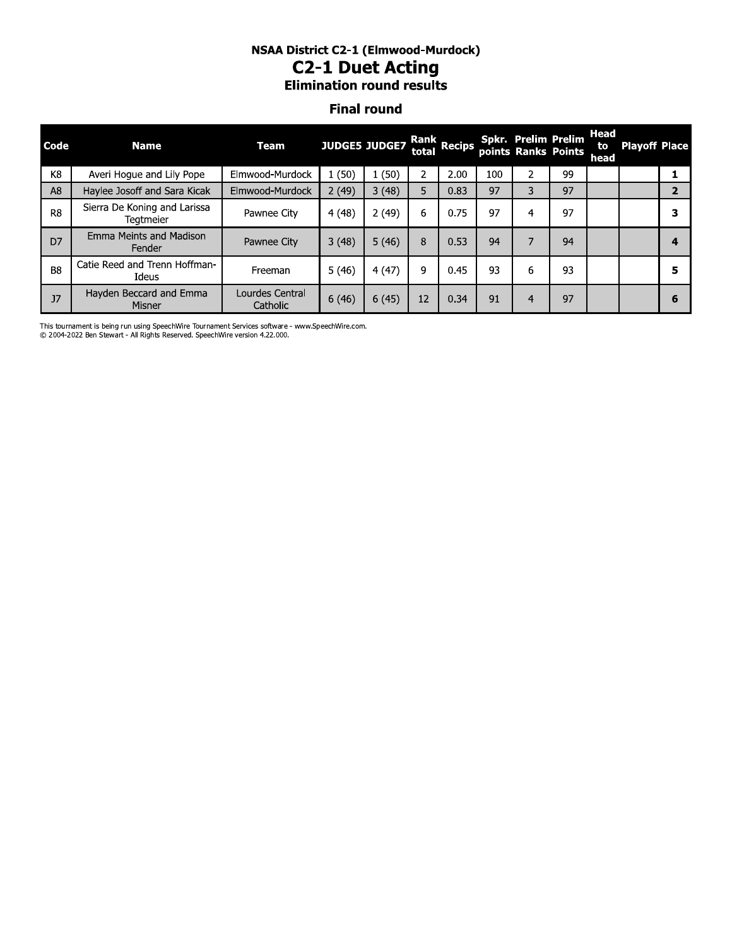#### NSAA District C2-1 (Elmwood-Murdock) **C2-1 Duet Acting Elimination round results**

#### **Final round**

| Code           | Name <sub>1</sub>                                | Team                        |        | <b>JUDGE5 JUDGE7</b> |    | Rank<br>total Recips |     | Spkr. Prelim Prelim<br>points Ranks Points |    | Head<br>to<br>head | <b>Playoff Place</b> |   |
|----------------|--------------------------------------------------|-----------------------------|--------|----------------------|----|----------------------|-----|--------------------------------------------|----|--------------------|----------------------|---|
| K <sub>8</sub> | Averi Hogue and Lily Pope                        | Elmwood-Murdock             | (50)   | (50)                 | 2  | 2.00                 | 100 | 2                                          | 99 |                    |                      |   |
| A <sub>8</sub> | Haylee Josoff and Sara Kicak                     | Elmwood-Murdock             | 2(49)  | 3(48)                | 5  | 0.83                 | 97  | 3                                          | 97 |                    |                      |   |
| R <sub>8</sub> | Sierra De Koning and Larissa<br><b>Teatmeier</b> | Pawnee City                 | 4 (48) | 2(49)                | 6  | 0.75                 | 97  | 4                                          | 97 |                    |                      |   |
| D7             | Emma Meints and Madison<br>Fender                | Pawnee City                 | 3(48)  | 5(46)                | 8  | 0.53                 | 94  | 7                                          | 94 |                    |                      |   |
| B <sub>8</sub> | Catie Reed and Trenn Hoffman-<br>Ideus           | Freeman                     | 5(46)  | 4(47)                | 9  | 0.45                 | 93  | 6                                          | 93 |                    |                      | 5 |
| J7             | Hayden Beccard and Emma<br>Misner                | Lourdes Central<br>Catholic | 6(46)  | 6(45)                | 12 | 0.34                 | 91  | $\overline{4}$                             | 97 |                    |                      | 6 |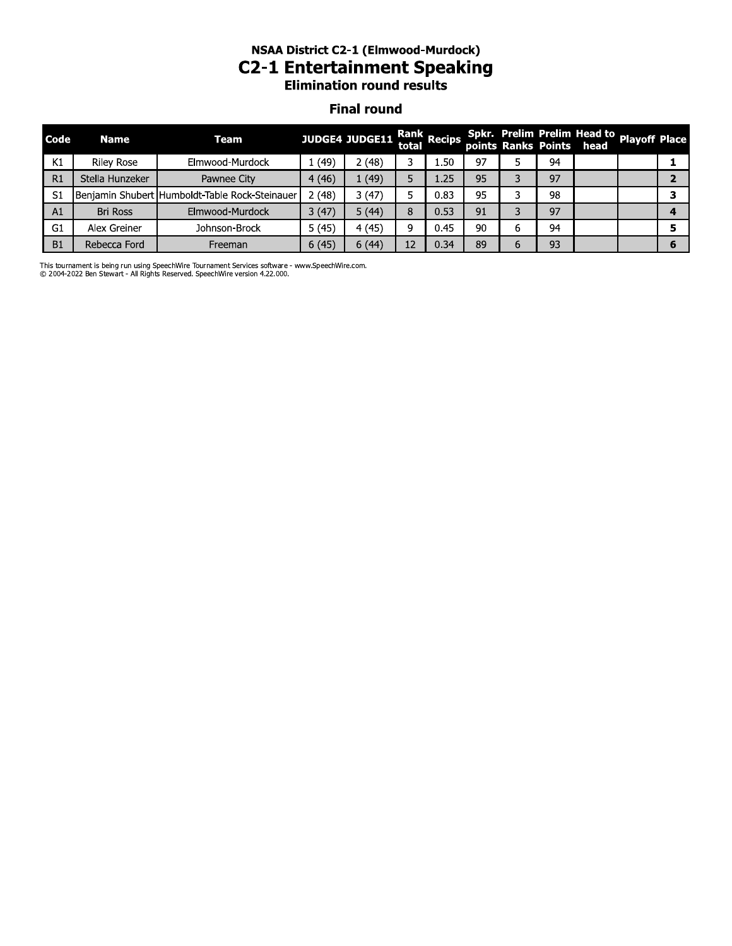# NSAA District C2-1 (Elmwood-Murdock) **C2-1 Entertainment Speaking**<br>Elimination round results

#### **Final round**

| Code | <b>Name</b>       | Team                                           |       | JUDGE4 JUDGE11 Rank Recips Spkr. Prelim Prelim Head to Playoff Place<br>points Ranks Points head |    |                |    |    |  |   |
|------|-------------------|------------------------------------------------|-------|--------------------------------------------------------------------------------------------------|----|----------------|----|----|--|---|
| K1   | <b>Riley Rose</b> | Elmwood-Murdock                                | 1(49) | (48)                                                                                             | ∍  | 1.50           | 97 | 94 |  |   |
| R1   | Stella Hunzeker   | Pawnee City                                    | 4(46) | (49)                                                                                             | 5  | $1.25^{\circ}$ | 95 | 97 |  |   |
| S1   |                   | Benjamin Shubert Humboldt-Table Rock-Steinauer | 2(48) | 3(47)                                                                                            |    | 0.83           | 95 | 98 |  |   |
| A1   | <b>Bri Ross</b>   | Elmwood-Murdock                                | 3(47) | 5(44)                                                                                            | 8  | 0.53           | 91 | 97 |  |   |
| G1   | Alex Greiner      | Johnson-Brock                                  | 5(45) | 4(45)                                                                                            | 9  | 0.45           | 90 | 94 |  |   |
| B1   | Rebecca Ford      | Freeman                                        | 6(45) | 6(44)                                                                                            | 12 | 0.34           | 89 | 93 |  | ю |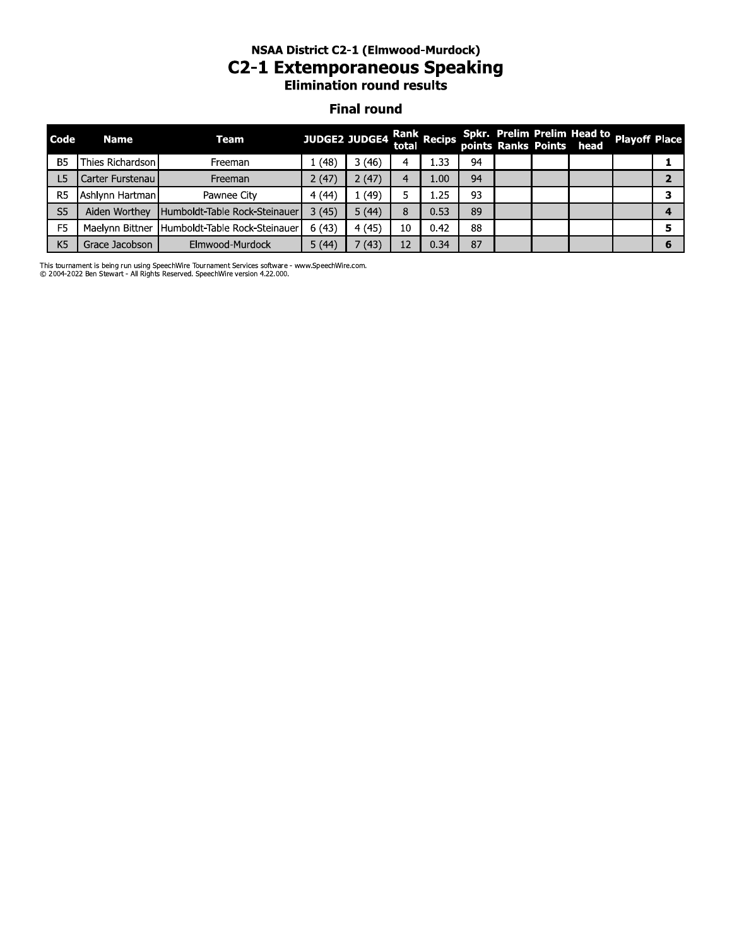### NSAA DISTrict C2-1 (Eimwood-Murdock) C2-1 Extemporaneous Speaking **Elimination round results**

#### **Final round**

|                | <b>NSAA District C2-1 (Elmwood-Murdock)</b><br><b>C2-1 Extemporaneous Speaking</b><br><b>Elimination round results</b> |                               |                      |        |    |                      |    |  |  |                                                                       |  |                |  |
|----------------|------------------------------------------------------------------------------------------------------------------------|-------------------------------|----------------------|--------|----|----------------------|----|--|--|-----------------------------------------------------------------------|--|----------------|--|
|                | <b>Final round</b>                                                                                                     |                               |                      |        |    |                      |    |  |  |                                                                       |  |                |  |
| Code           | <b>Name</b>                                                                                                            | Team                          | <b>JUDGE2 JUDGE4</b> |        |    | Rank<br>total Recips |    |  |  | Spkr. Prelim Prelim Head to Playoff Place<br>points Ranks Points head |  |                |  |
| <b>B5</b>      | Thies Richardson                                                                                                       | Freeman                       | 1(48)                | 3(46)  | 4  | 1.33                 | 94 |  |  |                                                                       |  | 1              |  |
| L <sub>5</sub> | Carter Furstenau                                                                                                       | Freeman                       | 2(47)                | 2(47)  | 4  | 1.00                 | 94 |  |  |                                                                       |  | $\overline{2}$ |  |
| R <sub>5</sub> | Ashlynn Hartman                                                                                                        | Pawnee City                   | 4 (44)               | . (49) | 5  | 1.25                 | 93 |  |  |                                                                       |  | 3              |  |
| S <sub>5</sub> | Aiden Worthey                                                                                                          | Humboldt-Table Rock-Steinauer | 3(45)                | 5(44)  | 8  | 0.53                 | 89 |  |  |                                                                       |  | 4              |  |
| F <sub>5</sub> | Maelynn Bittner                                                                                                        | Humboldt-Table Rock-Steinauer | 6(43)                | 4(45)  | 10 | 0.42                 | 88 |  |  |                                                                       |  | 5              |  |
| K <sub>5</sub> | Grace Jacobson                                                                                                         | Elmwood-Murdock               | 5(44)                | (43)   | 12 | 0.34                 | 87 |  |  |                                                                       |  | 6              |  |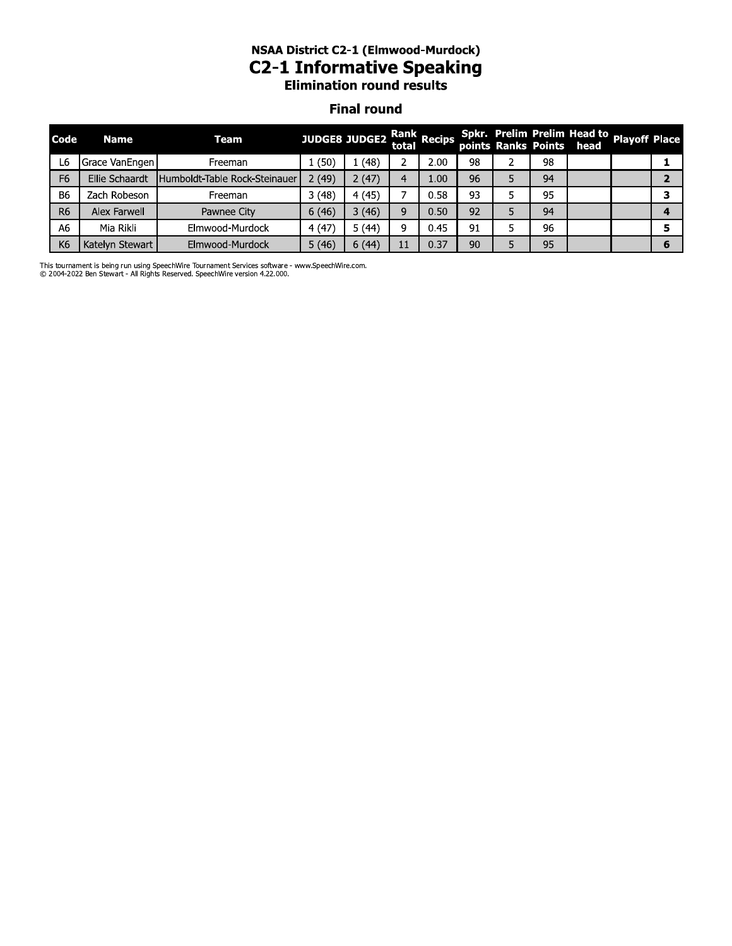# NSAA DISTrict C2-1 (Eimwood-Murdock) C2-1 Informative Speaking

#### **Final round**

|                | <b>NSAA District C2-1 (Elmwood-Murdock)</b><br><b>C2-1 Informative Speaking</b><br><b>Elimination round results</b> |                               |       |               |             |             |    |   |    |                                                         |                      |                |  |
|----------------|---------------------------------------------------------------------------------------------------------------------|-------------------------------|-------|---------------|-------------|-------------|----|---|----|---------------------------------------------------------|----------------------|----------------|--|
|                | <b>Final round</b>                                                                                                  |                               |       |               |             |             |    |   |    |                                                         |                      |                |  |
| Code           | <b>Name</b>                                                                                                         | Team                          |       | JUDGE8 JUDGE2 | total       | Rank Recips |    |   |    | Spkr. Prelim Prelim Head to<br>points Ranks Points head | <b>Playoff Place</b> |                |  |
| L6             | Grace VanEngen                                                                                                      | Freeman                       | 1(50) | 1(48)         | $2^{\circ}$ | 2.00        | 98 | 2 | 98 |                                                         |                      | 1              |  |
| F <sub>6</sub> | Ellie Schaardt                                                                                                      | Humboldt-Table Rock-Steinauer | 2(49) | 2(47)         | 4           | 1.00        | 96 | 5 | 94 |                                                         |                      | $\overline{2}$ |  |
| <b>B6</b>      | Zach Robeson                                                                                                        | Freeman                       | 3(48) | 4(45)         | 7           | 0.58        | 93 | 5 | 95 |                                                         |                      | 3              |  |
| R <sub>6</sub> | Alex Farwell                                                                                                        | Pawnee City                   | 6(46) | 3(46)         | 9           | 0.50        | 92 | 5 | 94 |                                                         |                      | 4              |  |
| A6             | Mia Rikli                                                                                                           | Elmwood-Murdock               | 4(47) | 5(44)         | 9           | 0.45        | 91 | 5 | 96 |                                                         |                      | 5              |  |
| K <sub>6</sub> | Katelyn Stewart                                                                                                     | Elmwood-Murdock               | 5(46) | 6(44)         | 11          | 0.37        | 90 | 5 | 95 |                                                         |                      | 6              |  |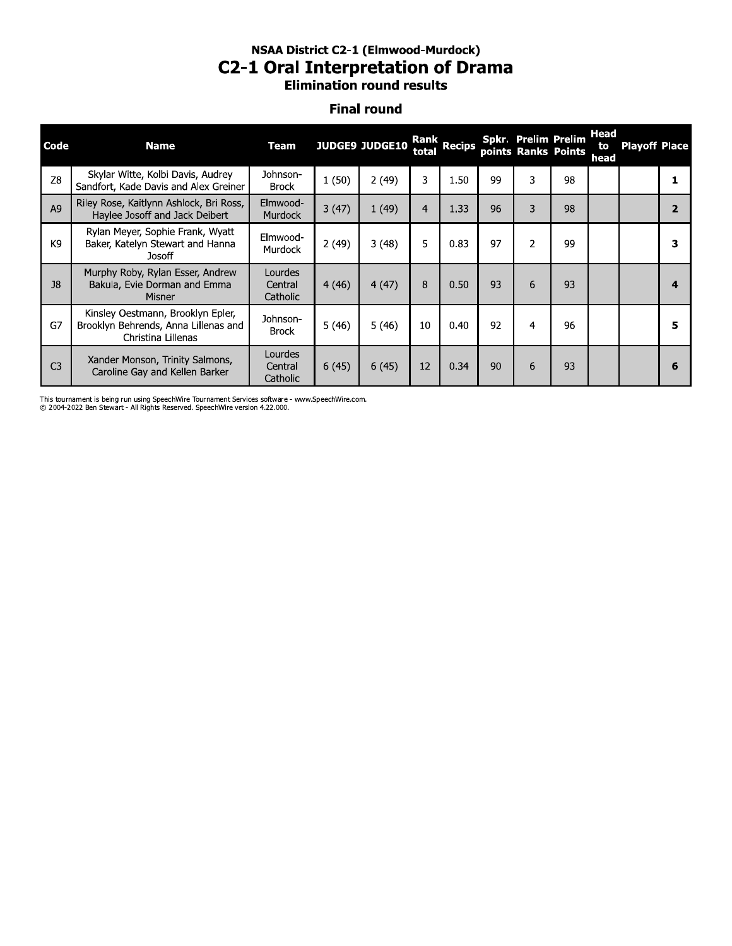#### NSAA DISTrict C2-1 (Eimwood-Murdock) **C2-1 Oral Interpretation of Drama Elimination round results**

#### **Final round**

|                |                                                                                                 | NSAA DISTRICT CZ-1 (EIMWOOG-MUROCK)<br>C2-1 Oral Interpretation of Drama |       | <b>Elimination round results</b> |                |             |    |                                            |    |                           |                      |                |
|----------------|-------------------------------------------------------------------------------------------------|--------------------------------------------------------------------------|-------|----------------------------------|----------------|-------------|----|--------------------------------------------|----|---------------------------|----------------------|----------------|
|                |                                                                                                 |                                                                          |       | <b>Final round</b>               |                |             |    |                                            |    |                           |                      |                |
| Code           | <b>Name</b>                                                                                     | <b>Team</b>                                                              |       | <b>JUDGE9 JUDGE10</b>            | total          | Rank Recips |    | Spkr. Prelim Prelim<br>points Ranks Points |    | <b>Head</b><br>to<br>head | <b>Playoff Place</b> |                |
| Z8             | Skylar Witte, Kolbi Davis, Audrey<br>Sandfort, Kade Davis and Alex Greiner                      | Johnson-<br><b>Brock</b>                                                 | 1(50) | 2(49)                            | 3              | 1.50        | 99 | 3                                          | 98 |                           |                      | 1              |
| A <sub>9</sub> | Riley Rose, Kaitlynn Ashlock, Bri Ross,<br>Haylee Josoff and Jack Deibert                       | Elmwood-<br><b>Murdock</b>                                               | 3(47) | 1(49)                            | $\overline{4}$ | 1.33        | 96 | 3                                          | 98 |                           |                      | $\overline{2}$ |
| K9             | Rylan Meyer, Sophie Frank, Wyatt<br>Baker, Katelyn Stewart and Hanna<br>Josoff                  | Elmwood-<br>Murdock                                                      | 2(49) | 3(48)                            | 5              | 0.83        | 97 | $\overline{2}$                             | 99 |                           |                      | 3              |
| J8             | Murphy Roby, Rylan Esser, Andrew<br>Bakula, Evie Dorman and Emma<br>Misner                      | Lourdes<br>Central<br>Catholic                                           | 4(46) | 4(47)                            | 8              | 0.50        | 93 | 6                                          | 93 |                           |                      | 4              |
| G7             | Kinsley Oestmann, Brooklyn Epler,<br>Brooklyn Behrends, Anna Lillenas and<br>Christina Lillenas | Johnson-<br><b>Brock</b>                                                 | 5(46) | 5(46)                            | 10             | 0.40        | 92 | $\overline{a}$                             | 96 |                           |                      | 5              |
| C <sub>3</sub> | Xander Monson, Trinity Salmons,<br>Caroline Gay and Kellen Barker                               | Lourdes<br>Central<br>Catholic                                           | 6(45) | 6(45)                            | 12             | 0.34        | 90 | 6                                          | 93 |                           |                      | 6              |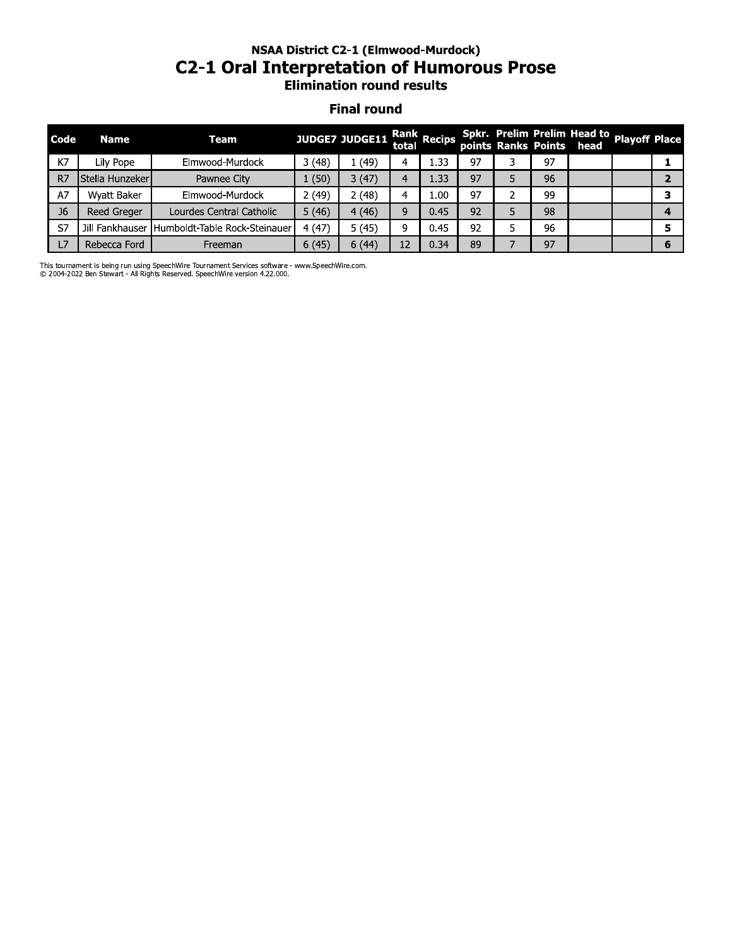#### NSAA DISTrict C2-1 (Eimwood-Murdock) C2-1 Oral Interpretation or Humorous Prose **Elimination round results**

#### **Final round**

|                | <b>NSAA District C2-1 (Elmwood-Murdock)</b><br><b>C2-1 Oral Interpretation of Humorous Prose</b><br><b>Elimination round results</b> |                                               |       |                |       |             |    |   |    |                                                                       |  |                |  |
|----------------|--------------------------------------------------------------------------------------------------------------------------------------|-----------------------------------------------|-------|----------------|-------|-------------|----|---|----|-----------------------------------------------------------------------|--|----------------|--|
|                | <b>Final round</b>                                                                                                                   |                                               |       |                |       |             |    |   |    |                                                                       |  |                |  |
| Code           | <b>Name</b>                                                                                                                          | Team                                          |       | JUDGE7 JUDGE11 | total | Rank Recips |    |   |    | Spkr. Prelim Prelim Head to Playoff Place<br>points Ranks Points head |  |                |  |
| K7             | Lily Pope                                                                                                                            | Elmwood-Murdock                               | 3(48) | 1(49)          | 4     | 1.33        | 97 | 3 | 97 |                                                                       |  | 1              |  |
| R7             | <b>I</b> Stella Hunzeker                                                                                                             | Pawnee City                                   | 1(50) | 3(47)          | 4     | 1.33        | 97 | 5 | 96 |                                                                       |  | $\overline{2}$ |  |
| A7             | Wyatt Baker                                                                                                                          | Elmwood-Murdock                               | 2(49) | 2(48)          | 4     | 1.00        | 97 | 2 | 99 |                                                                       |  | 3              |  |
| J <sub>6</sub> | <b>Reed Greger</b>                                                                                                                   | Lourdes Central Catholic                      | 5(46) | 4(46)          | 9     | 0.45        | 92 | 5 | 98 |                                                                       |  | 4              |  |
| S7             |                                                                                                                                      | Jill Fankhauser Humboldt-Table Rock-Steinauer | 4(47) | 5(45)          | 9     | 0.45        | 92 | 5 | 96 |                                                                       |  | 5              |  |
| L7             | Rebecca Ford                                                                                                                         | Freeman                                       | 6(45) | 6(44)          | 12    | 0.34        | 89 |   | 97 |                                                                       |  | 6              |  |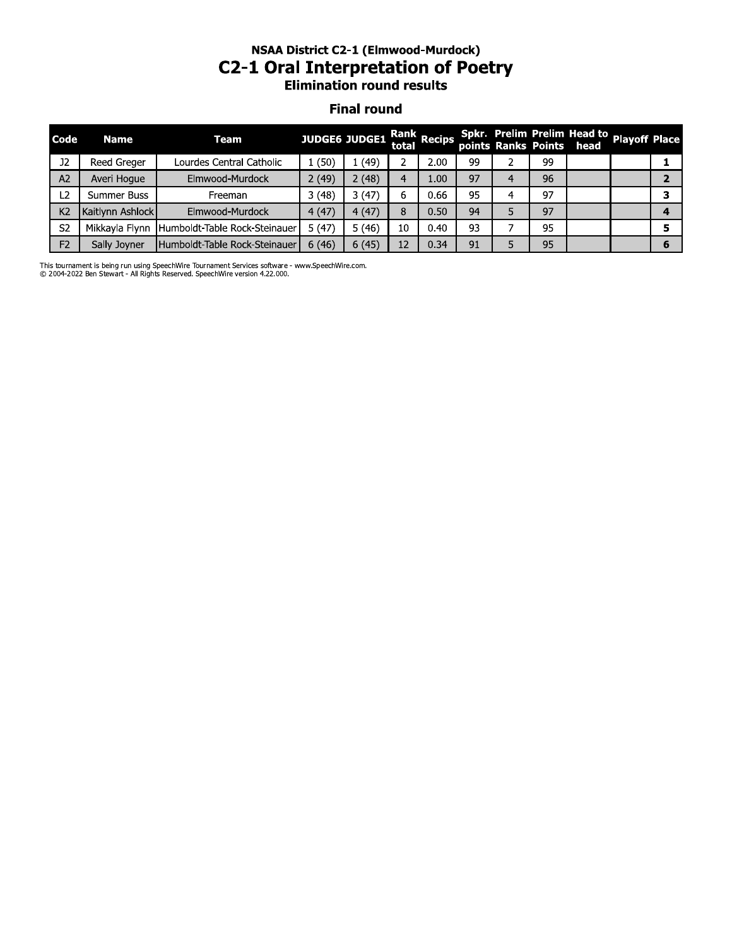# NSAA District C2-1 (Elmwood-Murdock) **C2-1 Oral Interpretation of Poetry**<br>Elimination round results

#### **Final round**

| Code           | <b>Name</b>      | Team                          | JUDGE6 JUDGE1 Rank Recips |       |    |      |    |   |    | Spkr. Prelim Prelim Head to Playoff Place<br>points Ranks Points head |   |
|----------------|------------------|-------------------------------|---------------------------|-------|----|------|----|---|----|-----------------------------------------------------------------------|---|
| 12             | Reed Greger      | Lourdes Central Catholic      | 1(50)                     | (49)  |    | 2.00 | 99 |   | 99 |                                                                       |   |
| A <sub>2</sub> | Averi Hoque      | Elmwood-Murdock               | 2(49)                     | 2(48) | 4  | 1.00 | 97 | 4 | 96 |                                                                       |   |
| L <sub>2</sub> | Summer Buss      | Freeman                       | 3(48)                     | 3(47) | 6  | 0.66 | 95 | 4 | 97 |                                                                       |   |
| K <sub>2</sub> | Kaitlynn Ashlock | Elmwood-Murdock               | 4(47)                     | 4(47) | 8  | 0.50 | 94 |   | 97 |                                                                       |   |
| S <sub>2</sub> | Mikkayla Flynn   | Humboldt-Table Rock-Steinauer | 5(47)                     | 5(46) | 10 | 0.40 | 93 |   | 95 |                                                                       |   |
| F <sub>2</sub> | Sally Joyner     | Humboldt-Table Rock-Steinauer | 6(46)                     | 6(45) | 12 | 0.34 | 91 |   | 95 |                                                                       | 6 |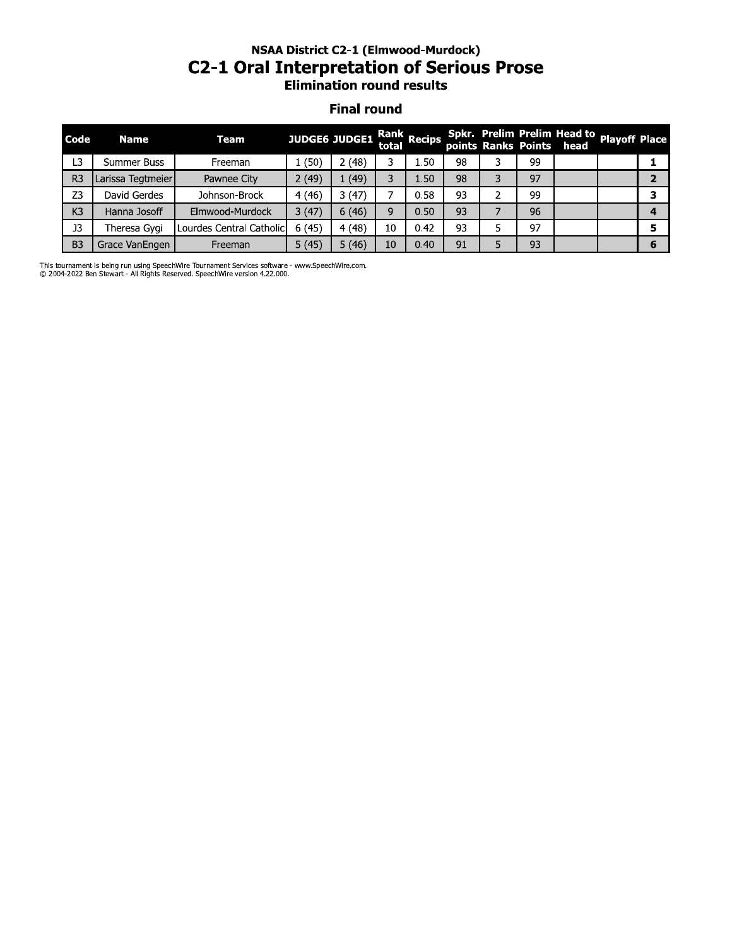#### NSAA DISTrict C2-1 (Eimwood-Murdock) C2-1 Oral Interpretation or Serious Prose **Elimination round results**

#### **Final round**

| Code           | <b>Name</b>       | <b>Team</b>              | <b>JUDGE6 JUDGE1</b> |       | total | Rank Recips |    |   |    | Spkr. Prelim Prelim Head to Playoff Place<br>points Ranks Points head |                |
|----------------|-------------------|--------------------------|----------------------|-------|-------|-------------|----|---|----|-----------------------------------------------------------------------|----------------|
| L <sub>3</sub> | Summer Buss       | Freeman                  | 1(50)                | 2(48) | 3     | 1.50        | 98 | 3 | 99 |                                                                       | 1              |
| R <sub>3</sub> | Larissa Tegtmeier | Pawnee City              | 2(49)                | 1(49) | 3     | 1.50        | 98 | 3 | 97 |                                                                       | $\overline{2}$ |
| Z <sub>3</sub> | David Gerdes      | Johnson-Brock            | 4(46)                | 3(47) | 7     | 0.58        | 93 | 2 | 99 |                                                                       | 3              |
|                | Hanna Josoff      | Elmwood-Murdock          | 3(47)                | 6(46) | 9     | 0.50        | 93 | 7 | 96 |                                                                       | 4              |
|                | Theresa Gygi      | Lourdes Central Catholic | 6(45)                | 4(48) | 10    | 0.42        | 93 | 5 | 97 |                                                                       | 5              |
|                | Grace VanEngen    | Freeman                  | 5(45)                | 5(46) | 10    | 0.40        | 91 | 5 | 93 |                                                                       | 6              |